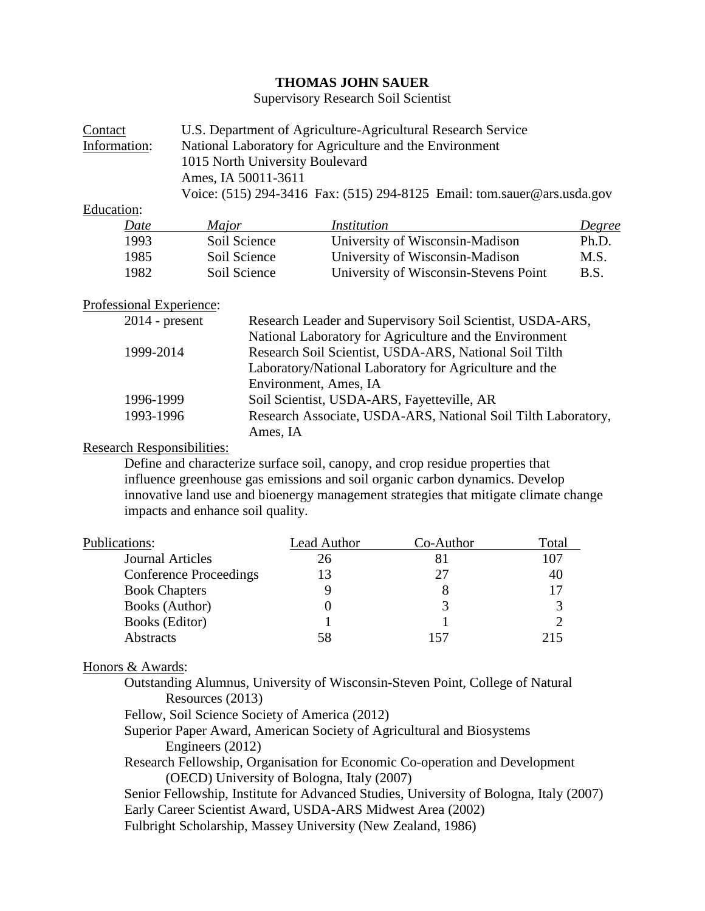# **THOMAS JOHN SAUER**

Supervisory Research Soil Scientist

| Contact      | U.S. Department of Agriculture-Agricultural Research Service            |  |  |
|--------------|-------------------------------------------------------------------------|--|--|
| Information: | National Laboratory for Agriculture and the Environment                 |  |  |
|              | 1015 North University Boulevard                                         |  |  |
|              | Ames, IA 50011-3611                                                     |  |  |
|              | Voice: (515) 294-3416 Fax: (515) 294-8125 Email: tom.sauer@ars.usda.gov |  |  |
|              |                                                                         |  |  |

Education:

| $\sim$ $\sim$ $\sim$ $\sim$<br>Date | <i>Major</i> | Institution                           | Degree      |
|-------------------------------------|--------------|---------------------------------------|-------------|
| 1993                                | Soil Science | University of Wisconsin-Madison       | Ph.D.       |
| 1985                                | Soil Science | University of Wisconsin-Madison       | M.S.        |
| 1982                                | Soil Science | University of Wisconsin-Stevens Point | <b>B.S.</b> |

# Professional Experience:

| $2014$ - present | Research Leader and Supervisory Soil Scientist, USDA-ARS,     |
|------------------|---------------------------------------------------------------|
|                  | National Laboratory for Agriculture and the Environment       |
| 1999-2014        | Research Soil Scientist, USDA-ARS, National Soil Tilth        |
|                  | Laboratory/National Laboratory for Agriculture and the        |
|                  | Environment, Ames, IA                                         |
| 1996-1999        | Soil Scientist, USDA-ARS, Fayetteville, AR                    |
| 1993-1996        | Research Associate, USDA-ARS, National Soil Tilth Laboratory, |
|                  | Ames, IA                                                      |

## Research Responsibilities:

Define and characterize surface soil, canopy, and crop residue properties that influence greenhouse gas emissions and soil organic carbon dynamics. Develop innovative land use and bioenergy management strategies that mitigate climate change impacts and enhance soil quality.

| Publications:                 | Lead Author | Co-Author | Total |
|-------------------------------|-------------|-----------|-------|
| <b>Journal Articles</b>       | 26          |           | 107   |
| <b>Conference Proceedings</b> | 13          | 27        | 40    |
| <b>Book Chapters</b>          |             |           |       |
| Books (Author)                |             |           |       |
| <b>Books</b> (Editor)         |             |           |       |
| <b>Abstracts</b>              | 58          |           | 215   |

### Honors & Awards:

- Outstanding Alumnus, University of Wisconsin-Steven Point, College of Natural Resources (2013)
- Fellow, Soil Science Society of America (2012)
- Superior Paper Award, American Society of Agricultural and Biosystems Engineers (2012)
- Research Fellowship, Organisation for Economic Co-operation and Development (OECD) University of Bologna, Italy (2007)
- Senior Fellowship, Institute for Advanced Studies, University of Bologna, Italy (2007) Early Career Scientist Award, USDA-ARS Midwest Area (2002)
- Fulbright Scholarship, Massey University (New Zealand, 1986)